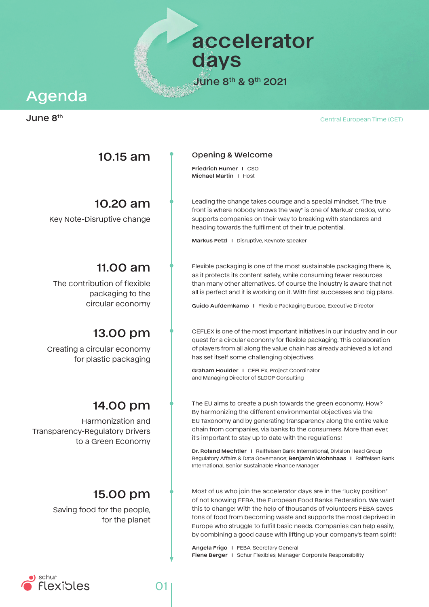Central European Time (CET)

**accelerator days**

**June 8th & 9th 2021**

# **Agenda**

### **June 8th**

## **10.15 am**

# **10.20 am**

Key Note-Disruptive change

# **11.00 am**

The contribution of flexible packaging to the circular economy

# **13.00 pm**

Creating a circular economy for plastic packaging

# **14.00 pm**

Harmonization and Transparency-Regulatory Drivers to a Green Economy

# **15.00 pm**

Saving food for the people, for the planet

#### **Opening & Welcome**

**Friedrich Humer I** CSO **Michael Martin I** Host

Leading the change takes courage and a special mindset. "The true front is where nobody knows the way" is one of Markus' credos, who supports companies on their way to breaking with standards and heading towards the fulfilment of their true potential.

**Markus Petzl I** Disruptive, Keynote speaker

Flexible packaging is one of the most sustainable packaging there is, as it protects its content safely, while consuming fewer resources than many other alternatives. Of course the industry is aware that not all is perfect and it is working on it. With first successes and big plans.

**Guido Aufdemkamp I** Flexible Packaging Europe, Executive Director

CEFLEX is one of the most important initiatives in our industry and in our quest for a circular economy for flexible packaging. This collaboration of players from all along the value chain has already achieved a lot and has set itself some challenging objectives.

**Graham Houlder I** CEFLEX, Project Coordinator and Managing Director of SLOOP Consulting

The EU aims to create a push towards the green economy. How? By harmonizing the different environmental objectives via the EU Taxonomy and by generating transparency along the entire value chain from companies, via banks to the consumers. More than ever, it's important to stay up to date with the regulations!

**Dr. Roland Mechtler I** Raiffeisen Bank International, Division Head Group Regulatory Affairs & Data Governance; **Benjamin Wohnhaas I** Raiffeisen Bank International, Senior Sustainable Finance Manager

Most of us who join the accelerator days are in the "lucky position" of not knowing FEBA, the European Food Banks Federation. We want this to change! With the help of thousands of volunteers FEBA saves tons of food from becoming waste and supports the most deprived in Europe who struggle to fulfill basic needs. Companies can help easily, by combining a good cause with lifting up your company's team spirit!

**Angela Frigo I** FEBA, Secretary General **Fiene Berger I** Schur Flexibles, Manager Corporate Responsibility